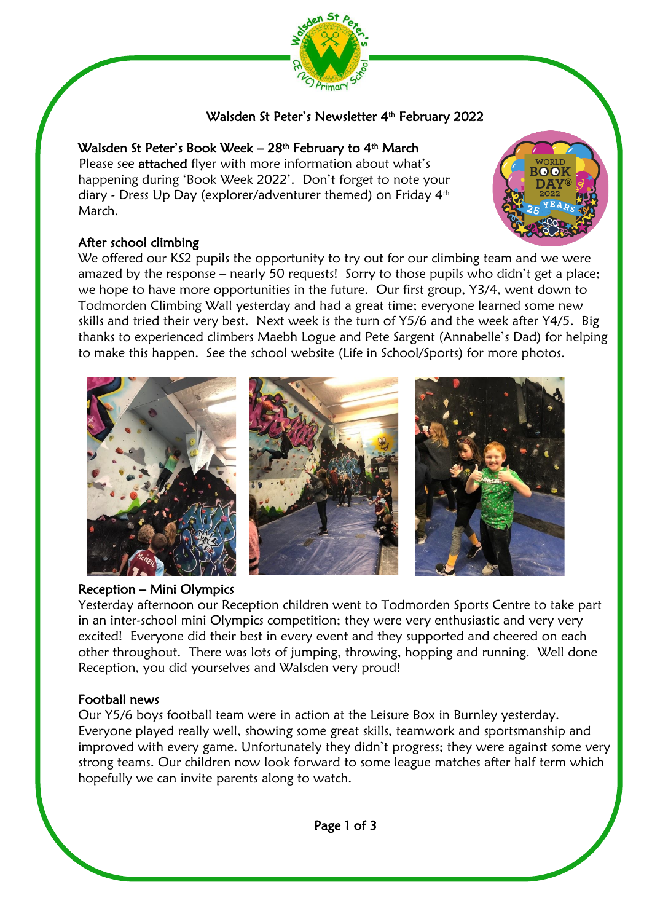

# Walsden St Peter's Newsletter 4 th February 2022

# Walsden St Peter's Book Week – 28<sup>th</sup> February to 4<sup>th</sup> March

Please see **attached** flyer with more information about what's happening during 'Book Week 2022'. Don't forget to note your diary - Dress Up Day (explorer/adventurer themed) on Friday 4th March.

## After school climbing

We offered our KS2 pupils the opportunity to try out for our climbing team and we were amazed by the response – nearly 50 requests! Sorry to those pupils who didn't get a place; we hope to have more opportunities in the future. Our first group, Y3/4, went down to Todmorden Climbing Wall yesterday and had a great time; everyone learned some new skills and tried their very best. Next week is the turn of Y5/6 and the week after Y4/5. Big thanks to experienced climbers Maebh Logue and Pete Sargent (Annabelle's Dad) for helping to make this happen. See the school website (Life in School/Sports) for more photos.



### Reception – Mini Olympics

Yesterday afternoon our Reception children went to Todmorden Sports Centre to take part in an inter-school mini Olympics competition; they were very enthusiastic and very very excited! Everyone did their best in every event and they supported and cheered on each other throughout. There was lots of jumping, throwing, hopping and running. Well done Reception, you did yourselves and Walsden very proud!

### Football news

ĺ

Our Y5/6 boys football team were in action at the Leisure Box in Burnley yesterday. Everyone played really well, showing some great skills, teamwork and sportsmanship and improved with every game. Unfortunately they didn't progress; they were against some very strong teams. Our children now look forward to some league matches after half term which hopefully we can invite parents along to watch.

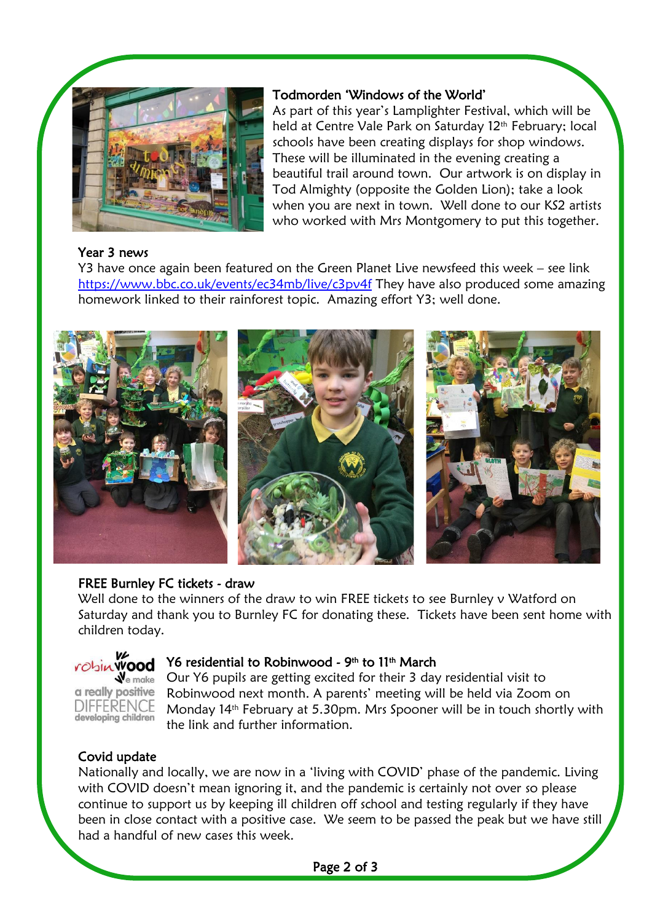

### Todmorden 'Windows of the World'

As part of this year's Lamplighter Festival, which will be held at Centre Vale Park on Saturday 12<sup>th</sup> February; local schools have been creating displays for shop windows. These will be illuminated in the evening creating a beautiful trail around town. Our artwork is on display in Tod Almighty (opposite the Golden Lion); take a look when you are next in town. Well done to our KS2 artists who worked with Mrs Montgomery to put this together.

#### Year 3 news

Y3 have once again been featured on the Green Planet Live newsfeed this week – see link <https://www.bbc.co.uk/events/ec34mb/live/c3pv4f> They have also produced some amazing homework linked to their rainforest topic. Amazing effort Y3; well done.



### FREE Burnley FC tickets - draw

Well done to the winners of the draw to win FREE tickets to see Burnley v Watford on Saturday and thank you to Burnley FC for donating these. Tickets have been sent home with children today.



### Y6 residential to Robinwood - 9th to 11th March

Our Y6 pupils are getting excited for their 3 day residential visit to Robinwood next month. A parents' meeting will be held via Zoom on Monday 14th February at 5.30pm. Mrs Spooner will be in touch shortly with the link and further information.

### Covid update

I

Nationally and locally, we are now in a 'living with COVID' phase of the pandemic. Living with COVID doesn't mean ignoring it, and the pandemic is certainly not over so please continue to support us by keeping ill children off school and testing regularly if they have been in close contact with a positive case. We seem to be passed the peak but we have still had a handful of new cases this week.

Page 2 of 3